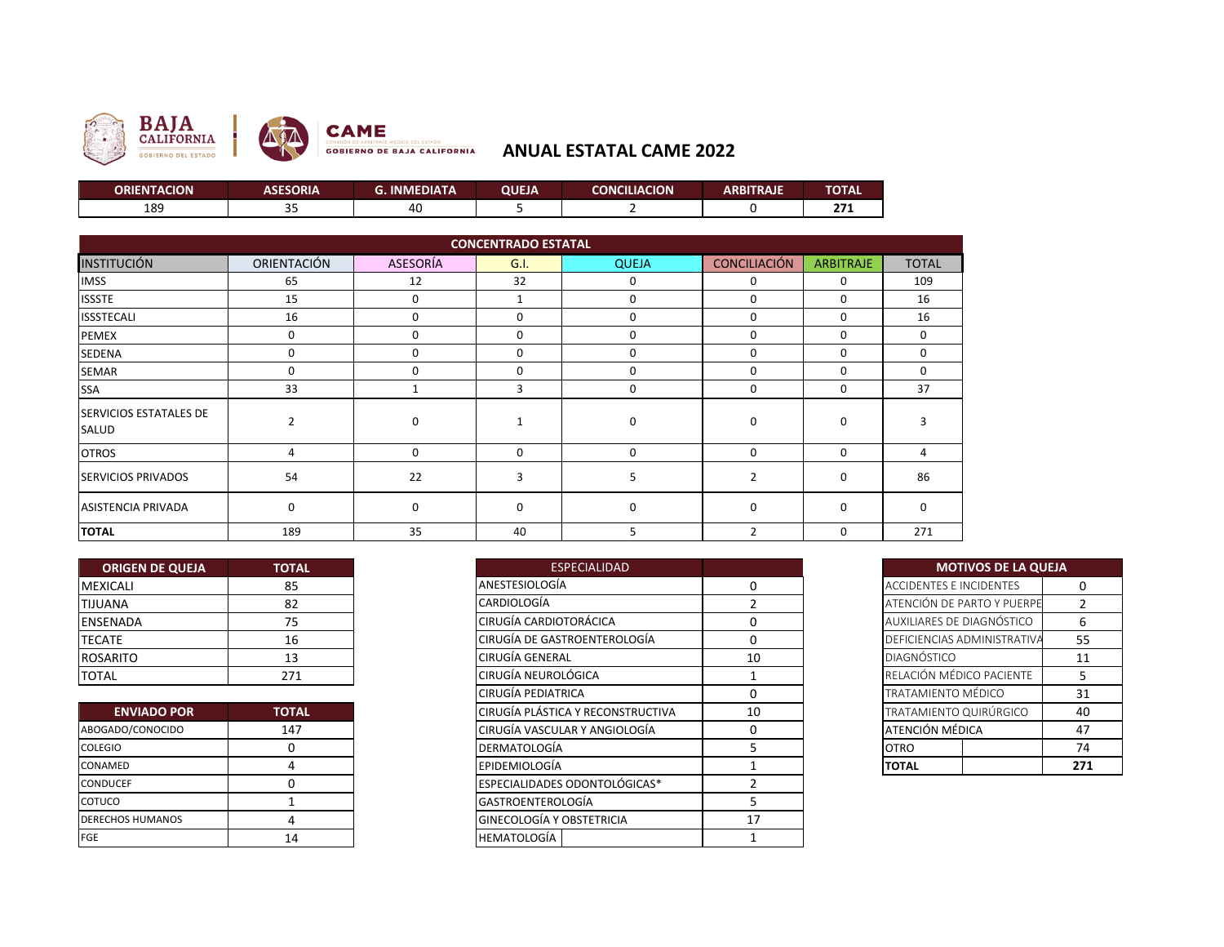

## **ANUAL ESTATAL CAME 2022**

| <b>ORIENTACION</b> | ASESORIA | G. INMEDIATA | QUEJA | <b>CONCILIACION</b> | ARBITRAJE | <b>TOTAL</b> |
|--------------------|----------|--------------|-------|---------------------|-----------|--------------|
| 189                | --       | -40          |       |                     |           | 77           |

| <b>CONCENTRADO ESTATAL</b>             |             |             |          |              |                     |                  |              |
|----------------------------------------|-------------|-------------|----------|--------------|---------------------|------------------|--------------|
| <b>INSTITUCIÓN</b>                     | ORIENTACIÓN | ASESORÍA    | G.I.     | <b>QUEJA</b> | <b>CONCILIACIÓN</b> | <b>ARBITRAJE</b> | <b>TOTAL</b> |
| <b>IMSS</b>                            | 65          | 12          | 32       | 0            | 0                   | 0                | 109          |
| <b>ISSSTE</b>                          | 15          | 0           |          | 0            | 0                   | $\Omega$         | 16           |
| <b>ISSSTECALI</b>                      | 16          | 0           | 0        | 0            | 0                   | $\Omega$         | 16           |
| <b>PEMEX</b>                           | 0           | $\mathbf 0$ | 0        | 0            | 0                   | $\Omega$         | 0            |
| <b>SEDENA</b>                          | 0           | 0           | 0        | 0            | 0                   | $\Omega$         | 0            |
| <b>SEMAR</b>                           | 0           | $\Omega$    | 0        | 0            | $\Omega$            | $\Omega$         | 0            |
| <b>SSA</b>                             | 33          |             | 3        | 0            | 0                   | $\Omega$         | 37           |
| <b>SERVICIOS ESTATALES DE</b><br>SALUD |             | 0           |          | 0            | 0                   | $\Omega$         | 3            |
| <b>OTROS</b>                           | 4           | 0           | 0        | $\Omega$     | 0                   | $\Omega$         | 4            |
| <b>SERVICIOS PRIVADOS</b>              | 54          | 22          | 3        |              | $\overline{2}$      | $\Omega$         | 86           |
| <b>ASISTENCIA PRIVADA</b>              | 0           | $\Omega$    | $\Omega$ | $\Omega$     | $\Omega$            | $\Omega$         | $\Omega$     |
| <b>TOTAL</b>                           | 189         | 35          | 40       | 5            | $\overline{2}$      | $\Omega$         | 271          |

| <b>ORIGEN DE QUEJA</b> | <b>TOTAL</b> |
|------------------------|--------------|
| <b>MEXICALI</b>        | 85           |
| <b>TIJUANA</b>         | 82           |
| <b>ENSENADA</b>        | 75           |
| <b>TECATE</b>          | 16           |
| <b>ROSARITO</b>        | 13           |
| <b>TOTAL</b>           | 271          |

| <b>ENVIADO POR</b>      | <b>TOTAL</b> |
|-------------------------|--------------|
| ABOGADO/CONOCIDO        | 147          |
| <b>COLEGIO</b>          |              |
| CONAMED                 |              |
| <b>CONDUCEF</b>         |              |
| COTUCO                  |              |
| <b>DERECHOS HUMANOS</b> |              |
| FGE                     | 14           |

| <b>ORIGEN DE QUEJA</b> | <b>TOTAL</b> |
|------------------------|--------------|
| MEXICALI               | 85           |
| TIJUANA                | 82           |
| ENSENADA               | 75           |
| TECATE                 | 16           |
| ROSARITO               | 13           |
| TOTAL                  | 271          |
|                        |              |
| <b>ENVIADO POR</b>     | <b>TOTAL</b> |
| ABOGADO/CONOCIDO       | 147          |
| COLEGIO                |              |
| CONAMED                |              |
| CONDUCEF               |              |
| COTUCO                 |              |
| DERECHOS HUMANOS       |              |
|                        | 14           |

| <b>MOTIVOS DE LA QUEJA</b>     |                |  |  |  |
|--------------------------------|----------------|--|--|--|
| <b>ACCIDENTES E INCIDENTES</b> | ი              |  |  |  |
| ATENCIÓN DE PARTO Y PUERPE     | $\mathfrak{p}$ |  |  |  |
| AUXILIARES DE DIAGNÓSTICO      | 6              |  |  |  |
| DEFICIENCIAS ADMINISTRATIVA    | 55             |  |  |  |
| <b>DIAGNÓSTICO</b>             | 11             |  |  |  |
| RELACIÓN MÉDICO PACIENTE       | 5              |  |  |  |
| TRATAMIENTO MÉDICO             | 31             |  |  |  |
| TRATAMIENTO QUIRÚRGICO         | 40             |  |  |  |
| ATENCIÓN MÉDICA                | 47             |  |  |  |
| <b>OTRO</b>                    | 74             |  |  |  |
| ΤΟΤΑL                          | 271            |  |  |  |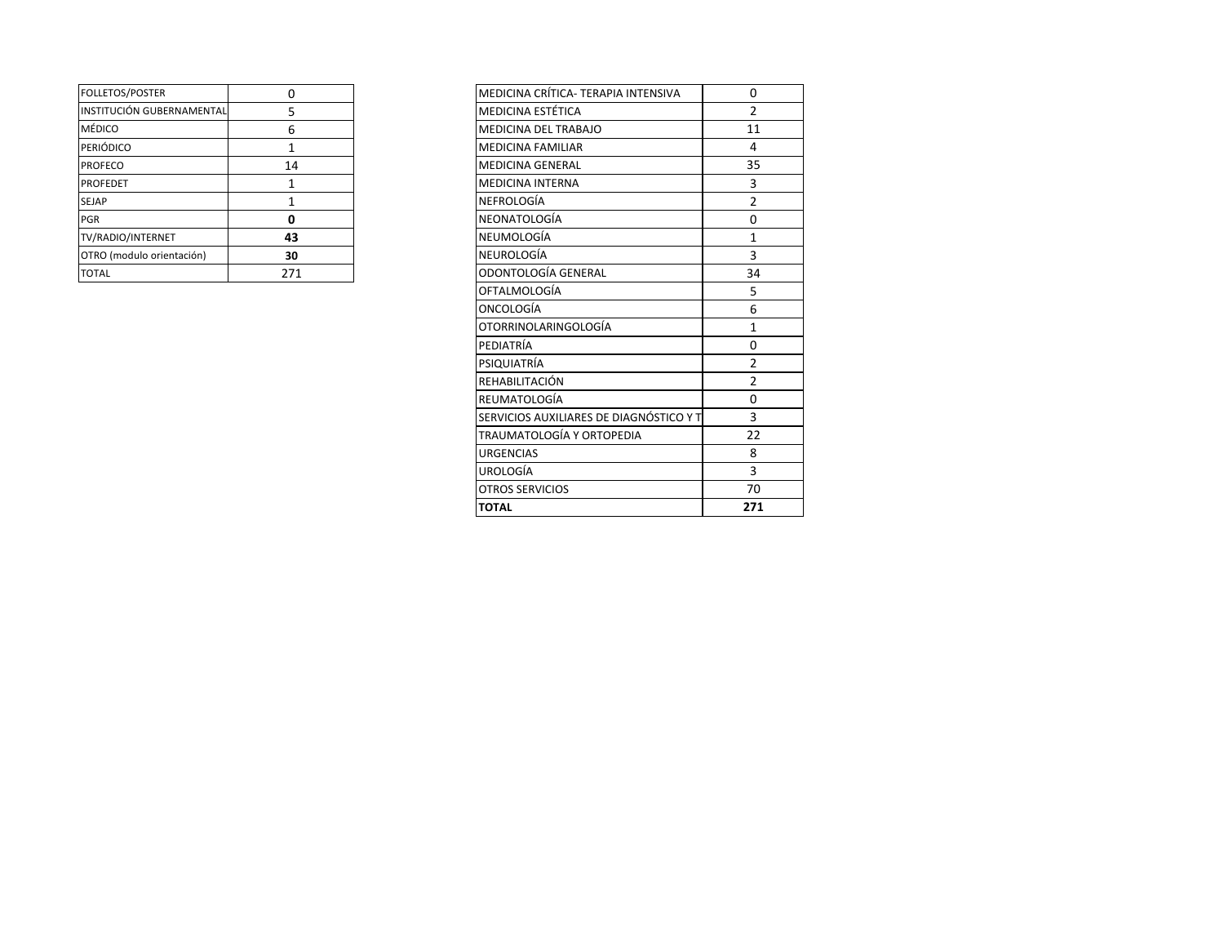| <b>FOLLETOS/POSTER</b>    |     |
|---------------------------|-----|
| INSTITUCIÓN GUBERNAMENTAL | 5   |
| MÉDICO                    | 6   |
| <b>PERIÓDICO</b>          |     |
| <b>PROFECO</b>            | 14  |
| <b>PROFEDET</b>           |     |
| <b>SEJAP</b>              |     |
| PGR                       |     |
| TV/RADIO/INTERNET         | 43  |
| OTRO (modulo orientación) | 30  |
| <b>TOTAL</b>              | 271 |

| FOLLETOS/POSTER           | 0            | MEDICINA CRÍTICA- TERAPIA INTENSIVA     | 0              |  |
|---------------------------|--------------|-----------------------------------------|----------------|--|
| INSTITUCIÓN GUBERNAMENTAL | 5            | <b>MEDICINA ESTÉTICA</b>                | $\overline{2}$ |  |
| MÉDICO                    | 6            | MEDICINA DEL TRABAJO                    | 11             |  |
| PERIÓDICO                 | $\mathbf{1}$ | <b>MEDICINA FAMILIAR</b>                | 4              |  |
| PROFECO                   | 14           | <b>MEDICINA GENERAL</b>                 | 35             |  |
| PROFEDET                  | 1            | <b>MEDICINA INTERNA</b>                 | 3              |  |
| SEJAP                     | $\mathbf{1}$ | <b>NEFROLOGÍA</b>                       | $\overline{2}$ |  |
| PGR                       | 0            | <b>NEONATOLOGÍA</b>                     | 0              |  |
| TV/RADIO/INTERNET         | 43           | NEUMOLOGÍA                              | $\mathbf{1}$   |  |
| OTRO (modulo orientación) | 30           | <b>NEUROLOGÍA</b>                       | $\overline{3}$ |  |
| <b>TOTAL</b>              | 271          | ODONTOLOGÍA GENERAL                     | 34             |  |
|                           |              | <b>OFTALMOLOGÍA</b>                     | 5              |  |
|                           |              | <b>ONCOLOGÍA</b>                        | 6              |  |
|                           |              | OTORRINOLARINGOLOGÍA                    | $\mathbf{1}$   |  |
|                           |              | PEDIATRÍA                               | 0              |  |
|                           |              | PSIQUIATRÍA                             | $\overline{2}$ |  |
|                           |              | REHABILITACIÓN                          | $\overline{2}$ |  |
|                           |              | REUMATOLOGÍA                            | 0              |  |
|                           |              | SERVICIOS AUXILIARES DE DIAGNÓSTICO Y T | $\overline{3}$ |  |
|                           |              | TRAUMATOLOGÍA Y ORTOPEDIA               | 22             |  |
|                           |              | <b>URGENCIAS</b>                        | 8              |  |
|                           |              | <b>UROLOGÍA</b>                         | $\overline{3}$ |  |
|                           |              | <b>OTROS SERVICIOS</b>                  | 70             |  |
|                           |              | <b>TOTAL</b>                            | 271            |  |